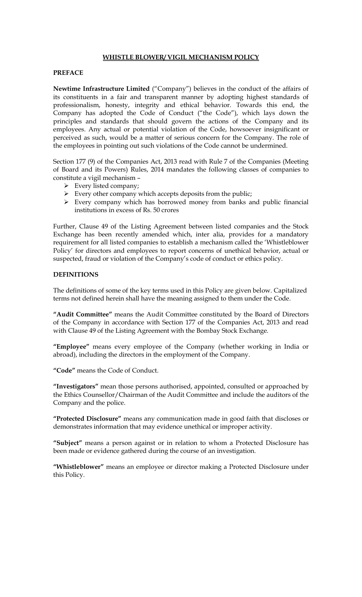# **WHISTLE BLOWER/ VIGIL MECHANISM POLICY**

# **PREFACE**

**Newtime Infrastructure Limited** ("Company") believes in the conduct of the affairs of its constituents in a fair and transparent manner by adopting highest standards of professionalism, honesty, integrity and ethical behavior. Towards this end, the Company has adopted the Code of Conduct ("the Code"), which lays down the principles and standards that should govern the actions of the Company and its employees. Any actual or potential violation of the Code, howsoever insignificant or perceived as such, would be a matter of serious concern for the Company. The role of the employees in pointing out such violations of the Code cannot be undermined.

Section 177 (9) of the Companies Act, 2013 read with Rule 7 of the Companies (Meeting of Board and its Powers) Rules, 2014 mandates the following classes of companies to constitute a vigil mechanism –

- $\triangleright$  Every listed company;
- $\triangleright$  Every other company which accepts deposits from the public;
- > Every company which has borrowed money from banks and public financial institutions in excess of Rs. 50 crores

Further, Clause 49 of the Listing Agreement between listed companies and the Stock Exchange has been recently amended which, inter alia, provides for a mandatory requirement for all listed companies to establish a mechanism called the 'Whistleblower Policy' for directors and employees to report concerns of unethical behavior, actual or suspected, fraud or violation of the Company's code of conduct or ethics policy.

## **DEFINITIONS**

The definitions of some of the key terms used in this Policy are given below. Capitalized terms not defined herein shall have the meaning assigned to them under the Code.

**"Audit Committee"** means the Audit Committee constituted by the Board of Directors of the Company in accordance with Section 177 of the Companies Act, 2013 and read with Clause 49 of the Listing Agreement with the Bombay Stock Exchange.

**"Employee"** means every employee of the Company (whether working in India or abroad), including the directors in the employment of the Company.

**"Code"** means the Code of Conduct.

**"Investigators"** mean those persons authorised, appointed, consulted or approached by the Ethics Counsellor/Chairman of the Audit Committee and include the auditors of the Company and the police.

**"Protected Disclosure"** means any communication made in good faith that discloses or demonstrates information that may evidence unethical or improper activity.

**"Subject"** means a person against or in relation to whom a Protected Disclosure has been made or evidence gathered during the course of an investigation.

**"Whistleblower"** means an employee or director making a Protected Disclosure under this Policy.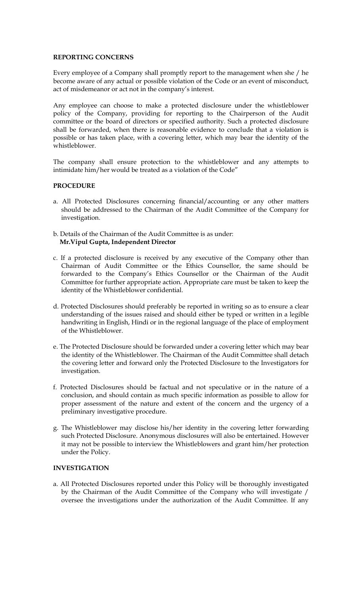## **REPORTING CONCERNS**

Every employee of a Company shall promptly report to the management when she / he become aware of any actual or possible violation of the Code or an event of misconduct, act of misdemeanor or act not in the company's interest.

Any employee can choose to make a protected disclosure under the whistleblower policy of the Company, providing for reporting to the Chairperson of the Audit committee or the board of directors or specified authority. Such a protected disclosure shall be forwarded, when there is reasonable evidence to conclude that a violation is possible or has taken place, with a covering letter, which may bear the identity of the whistleblower.

The company shall ensure protection to the whistleblower and any attempts to intimidate him/her would be treated as a violation of the Code"

### **PROCEDURE**

- a. All Protected Disclosures concerning financial/accounting or any other matters should be addressed to the Chairman of the Audit Committee of the Company for investigation.
- b. Details of the Chairman of the Audit Committee is as under: **Mr.Vipul Gupta, Independent Director**
- c. If a protected disclosure is received by any executive of the Company other than Chairman of Audit Committee or the Ethics Counsellor, the same should be forwarded to the Company's Ethics Counsellor or the Chairman of the Audit Committee for further appropriate action. Appropriate care must be taken to keep the identity of the Whistleblower confidential.
- d. Protected Disclosures should preferably be reported in writing so as to ensure a clear understanding of the issues raised and should either be typed or written in a legible handwriting in English, Hindi or in the regional language of the place of employment of the Whistleblower.
- e. The Protected Disclosure should be forwarded under a covering letter which may bear the identity of the Whistleblower. The Chairman of the Audit Committee shall detach the covering letter and forward only the Protected Disclosure to the Investigators for investigation.
- f. Protected Disclosures should be factual and not speculative or in the nature of a conclusion, and should contain as much specific information as possible to allow for proper assessment of the nature and extent of the concern and the urgency of a preliminary investigative procedure.
- g. The Whistleblower may disclose his/her identity in the covering letter forwarding such Protected Disclosure. Anonymous disclosures will also be entertained. However it may not be possible to interview the Whistleblowers and grant him/her protection under the Policy.

# **INVESTIGATION**

a. All Protected Disclosures reported under this Policy will be thoroughly investigated by the Chairman of the Audit Committee of the Company who will investigate / oversee the investigations under the authorization of the Audit Committee. If any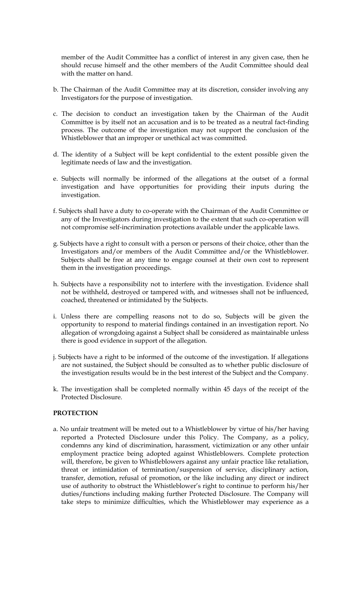member of the Audit Committee has a conflict of interest in any given case, then he should recuse himself and the other members of the Audit Committee should deal with the matter on hand.

- b. The Chairman of the Audit Committee may at its discretion, consider involving any Investigators for the purpose of investigation.
- c. The decision to conduct an investigation taken by the Chairman of the Audit Committee is by itself not an accusation and is to be treated as a neutral fact-finding process. The outcome of the investigation may not support the conclusion of the Whistleblower that an improper or unethical act was committed.
- d. The identity of a Subject will be kept confidential to the extent possible given the legitimate needs of law and the investigation.
- e. Subjects will normally be informed of the allegations at the outset of a formal investigation and have opportunities for providing their inputs during the investigation.
- f. Subjects shall have a duty to co-operate with the Chairman of the Audit Committee or any of the Investigators during investigation to the extent that such co-operation will not compromise self-incrimination protections available under the applicable laws.
- g. Subjects have a right to consult with a person or persons of their choice, other than the Investigators and/or members of the Audit Committee and/or the Whistleblower. Subjects shall be free at any time to engage counsel at their own cost to represent them in the investigation proceedings.
- h. Subjects have a responsibility not to interfere with the investigation. Evidence shall not be withheld, destroyed or tampered with, and witnesses shall not be influenced, coached, threatened or intimidated by the Subjects.
- i. Unless there are compelling reasons not to do so, Subjects will be given the opportunity to respond to material findings contained in an investigation report. No allegation of wrongdoing against a Subject shall be considered as maintainable unless there is good evidence in support of the allegation.
- j. Subjects have a right to be informed of the outcome of the investigation. If allegations are not sustained, the Subject should be consulted as to whether public disclosure of the investigation results would be in the best interest of the Subject and the Company.
- k. The investigation shall be completed normally within 45 days of the receipt of the Protected Disclosure.

# **PROTECTION**

a. No unfair treatment will be meted out to a Whistleblower by virtue of his/her having reported a Protected Disclosure under this Policy. The Company, as a policy, condemns any kind of discrimination, harassment, victimization or any other unfair employment practice being adopted against Whistleblowers. Complete protection will, therefore, be given to Whistleblowers against any unfair practice like retaliation, threat or intimidation of termination/suspension of service, disciplinary action, transfer, demotion, refusal of promotion, or the like including any direct or indirect use of authority to obstruct the Whistleblower's right to continue to perform his/her duties/functions including making further Protected Disclosure. The Company will take steps to minimize difficulties, which the Whistleblower may experience as a